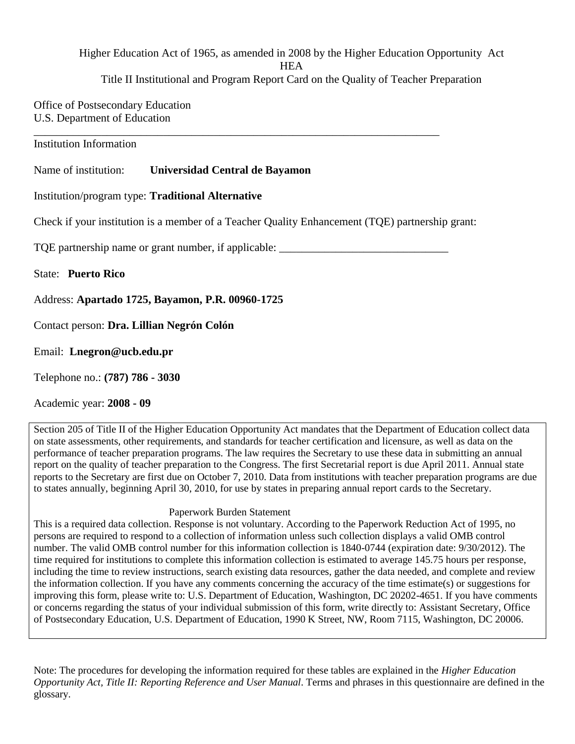Higher Education Act of 1965, as amended in 2008 by the Higher Education Opportunity Act **HEA** 

Title II Institutional and Program Report Card on the Quality of Teacher Preparation

Office of Postsecondary Education U.S. Department of Education

Institution Information

Name of institution: **Universidad Central de Bayamon**

Institution/program type: **Traditional Alternative**

Check if your institution is a member of a Teacher Quality Enhancement (TQE) partnership grant:

TQE partnership name or grant number, if applicable: \_\_\_\_\_\_\_\_\_\_\_\_\_\_\_\_\_\_\_\_\_\_\_\_\_\_\_

\_\_\_\_\_\_\_\_\_\_\_\_\_\_\_\_\_\_\_\_\_\_\_\_\_\_\_\_\_\_\_\_\_\_\_\_\_\_\_\_\_\_\_\_\_\_\_\_\_\_\_\_\_\_\_\_\_\_\_\_\_\_\_\_\_\_\_\_\_\_\_\_

State: **Puerto Rico**

Address: **Apartado 1725, Bayamon, P.R. 00960-1725**

Contact person: **Dra. Lillian Negrón Colón** 

Email: **Lnegron@ucb.edu.pr**

Telephone no.: **(787) 786 - 3030**

Academic year: **2008 - 09**

Section 205 of Title II of the Higher Education Opportunity Act mandates that the Department of Education collect data on state assessments, other requirements, and standards for teacher certification and licensure, as well as data on the performance of teacher preparation programs. The law requires the Secretary to use these data in submitting an annual report on the quality of teacher preparation to the Congress. The first Secretarial report is due April 2011. Annual state reports to the Secretary are first due on October 7, 2010. Data from institutions with teacher preparation programs are due to states annually, beginning April 30, 2010, for use by states in preparing annual report cards to the Secretary.

#### Paperwork Burden Statement

This is a required data collection. Response is not voluntary. According to the Paperwork Reduction Act of 1995, no persons are required to respond to a collection of information unless such collection displays a valid OMB control number. The valid OMB control number for this information collection is 1840-0744 (expiration date: 9/30/2012). The time required for institutions to complete this information collection is estimated to average 145.75 hours per response, including the time to review instructions, search existing data resources, gather the data needed, and complete and review the information collection. If you have any comments concerning the accuracy of the time estimate(s) or suggestions for improving this form, please write to: U.S. Department of Education, Washington, DC 20202-4651. If you have comments or concerns regarding the status of your individual submission of this form, write directly to: Assistant Secretary, Office of Postsecondary Education, U.S. Department of Education, 1990 K Street, NW, Room 7115, Washington, DC 20006.

Note: The procedures for developing the information required for these tables are explained in the *Higher Education Opportunity Act, Title II: Reporting Reference and User Manual*. Terms and phrases in this questionnaire are defined in the glossary.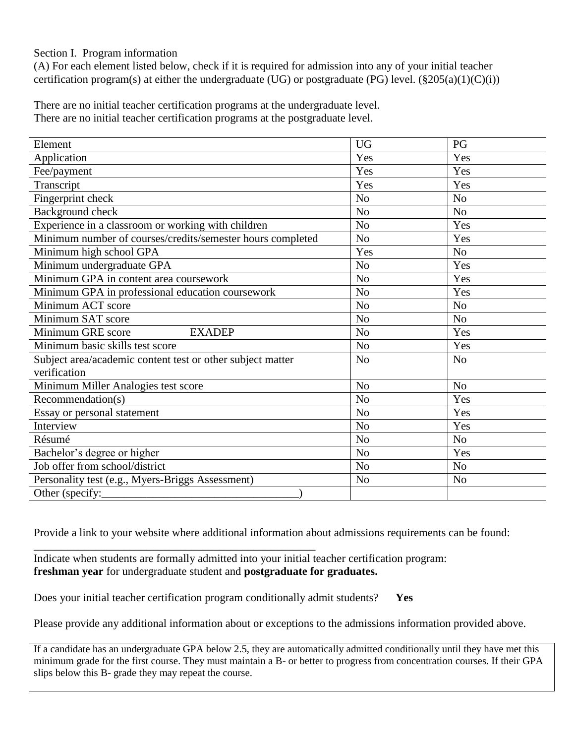#### Section I. Program information

(A) For each element listed below, check if it is required for admission into any of your initial teacher certification program(s) at either the undergraduate (UG) or postgraduate (PG) level.  $(\frac{8}{205(a)(1)(C)(i)})$ 

There are no initial teacher certification programs at the undergraduate level. There are no initial teacher certification programs at the postgraduate level.

| Element                                                    | <b>UG</b>      | PG             |
|------------------------------------------------------------|----------------|----------------|
| Application                                                | Yes            | Yes            |
| Fee/payment                                                | Yes            | Yes            |
| Transcript                                                 | Yes            | Yes            |
| Fingerprint check                                          | N <sub>o</sub> | N <sub>o</sub> |
| Background check                                           | N <sub>o</sub> | N <sub>o</sub> |
| Experience in a classroom or working with children         | N <sub>o</sub> | Yes            |
| Minimum number of courses/credits/semester hours completed | N <sub>o</sub> | Yes            |
| Minimum high school GPA                                    | Yes            | No             |
| Minimum undergraduate GPA                                  | N <sub>o</sub> | Yes            |
| Minimum GPA in content area coursework                     | N <sub>o</sub> | Yes            |
| Minimum GPA in professional education coursework           | N <sub>o</sub> | Yes            |
| Minimum ACT score                                          | N <sub>o</sub> | N <sub>o</sub> |
| Minimum SAT score                                          | N <sub>o</sub> | N <sub>o</sub> |
| Minimum GRE score<br><b>EXADEP</b>                         | N <sub>o</sub> | Yes            |
| Minimum basic skills test score                            | No             | Yes            |
| Subject area/academic content test or other subject matter | N <sub>o</sub> | N <sub>o</sub> |
| verification                                               |                |                |
| Minimum Miller Analogies test score                        | N <sub>o</sub> | N <sub>o</sub> |
| Recommendation(s)                                          | N <sub>o</sub> | Yes            |
| Essay or personal statement                                | N <sub>o</sub> | Yes            |
| Interview                                                  | N <sub>o</sub> | Yes            |
| Résumé                                                     | N <sub>o</sub> | N <sub>0</sub> |
| Bachelor's degree or higher                                | N <sub>o</sub> | Yes            |
| Job offer from school/district                             | No             | N <sub>o</sub> |
| Personality test (e.g., Myers-Briggs Assessment)           | N <sub>o</sub> | N <sub>o</sub> |
| Other (specify:                                            |                |                |

Provide a link to your website where additional information about admissions requirements can be found:

Indicate when students are formally admitted into your initial teacher certification program: **freshman year** for undergraduate student and **postgraduate for graduates.**

Does your initial teacher certification program conditionally admit students? **Yes** 

\_\_\_\_\_\_\_\_\_\_\_\_\_\_\_\_\_\_\_\_\_\_\_\_\_\_\_\_\_\_\_\_\_\_\_\_\_\_\_\_\_\_\_\_\_\_\_\_\_\_

Please provide any additional information about or exceptions to the admissions information provided above.

If a candidate has an undergraduate GPA below 2.5, they are automatically admitted conditionally until they have met this minimum grade for the first course. They must maintain a B- or better to progress from concentration courses. If their GPA slips below this B- grade they may repeat the course.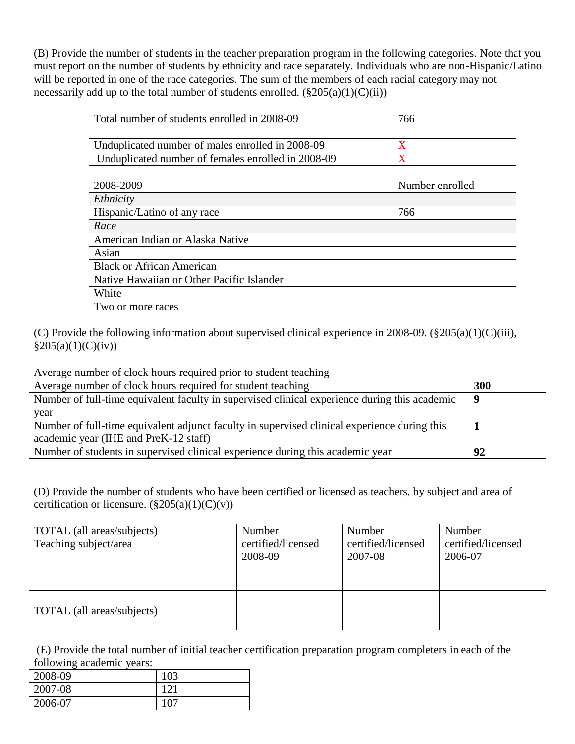(B) Provide the number of students in the teacher preparation program in the following categories. Note that you must report on the number of students by ethnicity and race separately. Individuals who are non-Hispanic/Latino will be reported in one of the race categories. The sum of the members of each racial category may not necessarily add up to the total number of students enrolled.  $(\frac{205(a)(1)(C(ii))}{20}$ 

| Total number of students enrolled in 2008-09       | 766 |
|----------------------------------------------------|-----|
|                                                    |     |
| Unduplicated number of males enrolled in 2008-09   |     |
| Unduplicated number of females enrolled in 2008-09 |     |

| 2008-2009                                 | Number enrolled |
|-------------------------------------------|-----------------|
| Ethnicity                                 |                 |
| Hispanic/Latino of any race               | 766             |
| Race                                      |                 |
| American Indian or Alaska Native          |                 |
| Asian                                     |                 |
| <b>Black or African American</b>          |                 |
| Native Hawaiian or Other Pacific Islander |                 |
| White                                     |                 |
| Two or more races                         |                 |

(C) Provide the following information about supervised clinical experience in 2008-09. (§205(a)(1)(C)(iii),  $§205(a)(1)(C)(iv))$ 

| Average number of clock hours required prior to student teaching                              |     |
|-----------------------------------------------------------------------------------------------|-----|
| Average number of clock hours required for student teaching                                   | 300 |
| Number of full-time equivalent faculty in supervised clinical experience during this academic | -9  |
| year                                                                                          |     |
| Number of full-time equivalent adjunct faculty in supervised clinical experience during this  |     |
| academic year (IHE and PreK-12 staff)                                                         |     |
| Number of students in supervised clinical experience during this academic year                | 92  |

(D) Provide the number of students who have been certified or licensed as teachers, by subject and area of certification or licensure.  $(\S 205(a)(1)(C)(v))$ 

| TOTAL (all areas/subjects) | Number             | Number             | Number             |
|----------------------------|--------------------|--------------------|--------------------|
| Teaching subject/area      | certified/licensed | certified/licensed | certified/licensed |
|                            | 2008-09            | 2007-08            | 2006-07            |
|                            |                    |                    |                    |
|                            |                    |                    |                    |
|                            |                    |                    |                    |
| TOTAL (all areas/subjects) |                    |                    |                    |
|                            |                    |                    |                    |

(E) Provide the total number of initial teacher certification preparation program completers in each of the following academic years:

| 2008-09 | 103                             |
|---------|---------------------------------|
| 2007-08 | $1^{\prime}\mathsf{1}^{\prime}$ |
| 2006-07 |                                 |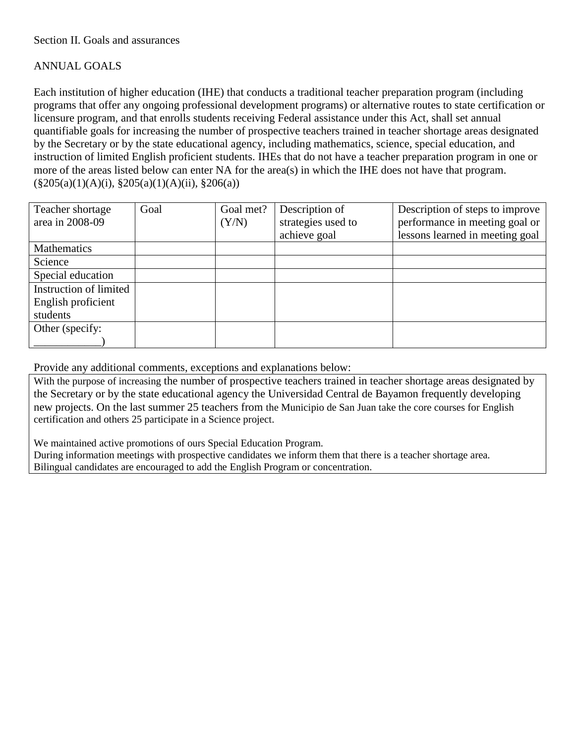#### Section II. Goals and assurances

### ANNUAL GOALS

Each institution of higher education (IHE) that conducts a traditional teacher preparation program (including programs that offer any ongoing professional development programs) or alternative routes to state certification or licensure program, and that enrolls students receiving Federal assistance under this Act, shall set annual quantifiable goals for increasing the number of prospective teachers trained in teacher shortage areas designated by the Secretary or by the state educational agency, including mathematics, science, special education, and instruction of limited English proficient students. IHEs that do not have a teacher preparation program in one or more of the areas listed below can enter NA for the area(s) in which the IHE does not have that program.  $(\S 205(a)(1)(A)(i), \S 205(a)(1)(A)(ii), \S 206(a))$ 

| Teacher shortage       | Goal | Goal met? | Description of     | Description of steps to improve |
|------------------------|------|-----------|--------------------|---------------------------------|
| area in 2008-09        |      | (Y/N)     | strategies used to | performance in meeting goal or  |
|                        |      |           | achieve goal       | lessons learned in meeting goal |
| <b>Mathematics</b>     |      |           |                    |                                 |
| Science                |      |           |                    |                                 |
| Special education      |      |           |                    |                                 |
| Instruction of limited |      |           |                    |                                 |
| English proficient     |      |           |                    |                                 |
| students               |      |           |                    |                                 |
| Other (specify:        |      |           |                    |                                 |
|                        |      |           |                    |                                 |

Provide any additional comments, exceptions and explanations below:

With the purpose of increasing the number of prospective teachers trained in teacher shortage areas designated by the Secretary or by the state educational agency the Universidad Central de Bayamon frequently developing new projects. On the last summer 25 teachers from the Municipio de San Juan take the core courses for English certification and others 25 participate in a Science project.

We maintained active promotions of ours Special Education Program.

During information meetings with prospective candidates we inform them that there is a teacher shortage area. Bilingual candidates are encouraged to add the English Program or concentration.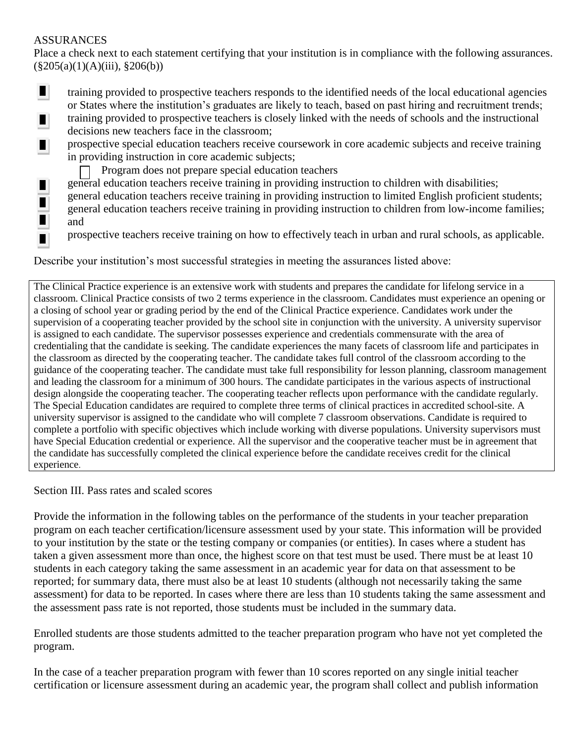### ASSURANCES

Ш  $\blacksquare$ ▉  $\blacksquare$ 

Place a check next to each statement certifying that your institution is in compliance with the following assurances.  $(\S 205(a)(1)(A)(iii), \S 206(b))$ 

- ш training provided to prospective teachers responds to the identified needs of the local educational agencies or States where the institution's graduates are likely to teach, based on past hiring and recruitment trends;
- training provided to prospective teachers is closely linked with the needs of schools and the instructional  $\blacksquare$ decisions new teachers face in the classroom;
- prospective special education teachers receive coursework in core academic subjects and receive training  $\blacksquare$ in providing instruction in core academic subjects;
	- Program does not prepare special education teachers
	- general education teachers receive training in providing instruction to children with disabilities;
	- general education teachers receive training in providing instruction to limited English proficient students; general education teachers receive training in providing instruction to children from low-income families; and
		- prospective teachers receive training on how to effectively teach in urban and rural schools, as applicable.

Describe your institution's most successful strategies in meeting the assurances listed above:

The Clinical Practice experience is an extensive work with students and prepares the candidate for lifelong service in a classroom. Clinical Practice consists of two 2 terms experience in the classroom. Candidates must experience an opening or a closing of school year or grading period by the end of the Clinical Practice experience. Candidates work under the supervision of a cooperating teacher provided by the school site in conjunction with the university. A university supervisor is assigned to each candidate. The supervisor possesses experience and credentials commensurate with the area of credentialing that the candidate is seeking. The candidate experiences the many facets of classroom life and participates in the classroom as directed by the cooperating teacher. The candidate takes full control of the classroom according to the guidance of the cooperating teacher. The candidate must take full responsibility for lesson planning, classroom management and leading the classroom for a minimum of 300 hours. The candidate participates in the various aspects of instructional design alongside the cooperating teacher. The cooperating teacher reflects upon performance with the candidate regularly. The Special Education candidates are required to complete three terms of clinical practices in accredited school-site. A university supervisor is assigned to the candidate who will complete 7 classroom observations. Candidate is required to complete a portfolio with specific objectives which include working with diverse populations. University supervisors must have Special Education credential or experience. All the supervisor and the cooperative teacher must be in agreement that the candidate has successfully completed the clinical experience before the candidate receives credit for the clinical experience.

### Section III. Pass rates and scaled scores

Provide the information in the following tables on the performance of the students in your teacher preparation program on each teacher certification/licensure assessment used by your state. This information will be provided to your institution by the state or the testing company or companies (or entities). In cases where a student has taken a given assessment more than once, the highest score on that test must be used. There must be at least 10 students in each category taking the same assessment in an academic year for data on that assessment to be reported; for summary data, there must also be at least 10 students (although not necessarily taking the same assessment) for data to be reported. In cases where there are less than 10 students taking the same assessment and the assessment pass rate is not reported, those students must be included in the summary data.

Enrolled students are those students admitted to the teacher preparation program who have not yet completed the program.

In the case of a teacher preparation program with fewer than 10 scores reported on any single initial teacher certification or licensure assessment during an academic year, the program shall collect and publish information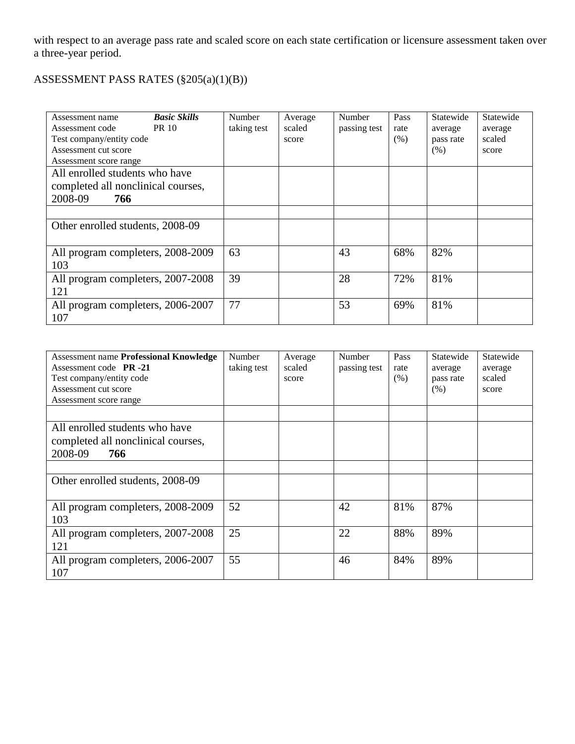with respect to an average pass rate and scaled score on each state certification or licensure assessment taken over a three-year period.

# ASSESSMENT PASS RATES (§205(a)(1)(B))

| <b>Basic Skills</b><br>Assessment name<br><b>PR 10</b><br>Assessment code<br>Test company/entity code<br>Assessment cut score<br>Assessment score range | Number<br>taking test | Average<br>scaled<br>score | Number<br>passing test | Pass<br>rate<br>(% ) | Statewide<br>average<br>pass rate<br>(% ) | Statewide<br>average<br>scaled<br>score |
|---------------------------------------------------------------------------------------------------------------------------------------------------------|-----------------------|----------------------------|------------------------|----------------------|-------------------------------------------|-----------------------------------------|
| All enrolled students who have                                                                                                                          |                       |                            |                        |                      |                                           |                                         |
| completed all nonclinical courses,                                                                                                                      |                       |                            |                        |                      |                                           |                                         |
| 2008-09<br>766                                                                                                                                          |                       |                            |                        |                      |                                           |                                         |
|                                                                                                                                                         |                       |                            |                        |                      |                                           |                                         |
| Other enrolled students, 2008-09                                                                                                                        |                       |                            |                        |                      |                                           |                                         |
| All program completers, 2008-2009<br>103                                                                                                                | 63                    |                            | 43                     | 68%                  | 82%                                       |                                         |
| All program completers, 2007-2008<br>121                                                                                                                | 39                    |                            | 28                     | 72%                  | 81%                                       |                                         |
| All program completers, 2006-2007<br>107                                                                                                                | 77                    |                            | 53                     | 69%                  | 81%                                       |                                         |

| <b>Assessment name Professional Knowledge</b><br>Assessment code PR -21<br>Test company/entity code<br>Assessment cut score<br>Assessment score range | Number<br>taking test | Average<br>scaled<br>score | Number<br>passing test | Pass<br>rate<br>(% ) | Statewide<br>average<br>pass rate<br>(% ) | Statewide<br>average<br>scaled<br>score |
|-------------------------------------------------------------------------------------------------------------------------------------------------------|-----------------------|----------------------------|------------------------|----------------------|-------------------------------------------|-----------------------------------------|
| All enrolled students who have<br>completed all nonclinical courses,<br>2008-09<br>766                                                                |                       |                            |                        |                      |                                           |                                         |
| Other enrolled students, 2008-09                                                                                                                      |                       |                            |                        |                      |                                           |                                         |
| All program completers, 2008-2009<br>103                                                                                                              | 52                    |                            | 42                     | 81%                  | 87%                                       |                                         |
| All program completers, 2007-2008<br>121                                                                                                              | 25                    |                            | 22                     | 88%                  | 89%                                       |                                         |
| All program completers, 2006-2007<br>107                                                                                                              | 55                    |                            | 46                     | 84%                  | 89%                                       |                                         |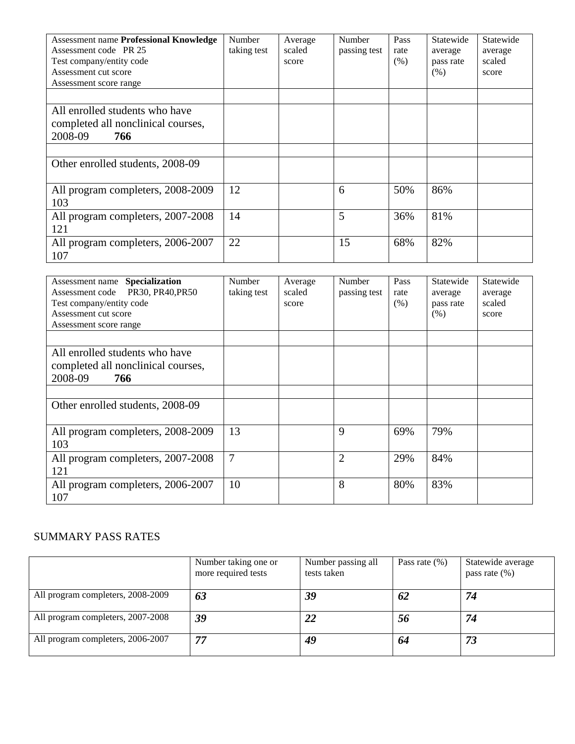| <b>Assessment name Professional Knowledge</b><br>Assessment code PR 25<br>Test company/entity code<br>Assessment cut score<br>Assessment score range | Number<br>taking test | Average<br>scaled<br>score | Number<br>passing test | Pass<br>rate<br>(% ) | Statewide<br>average<br>pass rate<br>(% ) | Statewide<br>average<br>scaled<br>score |
|------------------------------------------------------------------------------------------------------------------------------------------------------|-----------------------|----------------------------|------------------------|----------------------|-------------------------------------------|-----------------------------------------|
| All enrolled students who have<br>completed all nonclinical courses,<br>2008-09<br>766                                                               |                       |                            |                        |                      |                                           |                                         |
| Other enrolled students, 2008-09                                                                                                                     |                       |                            |                        |                      |                                           |                                         |
| All program completers, 2008-2009<br>103                                                                                                             | 12                    |                            | 6                      | 50%                  | 86%                                       |                                         |
| All program completers, 2007-2008<br>121                                                                                                             | 14                    |                            | 5                      | 36%                  | 81%                                       |                                         |
| All program completers, 2006-2007<br>107                                                                                                             | 22                    |                            | 15                     | 68%                  | 82%                                       |                                         |

| Assessment name Specialization<br>PR30, PR40, PR50<br>Assessment code<br>Test company/entity code<br>Assessment cut score<br>Assessment score range | Number<br>taking test | Average<br>scaled<br>score | Number<br>passing test | Pass<br>rate<br>(% ) | Statewide<br>average<br>pass rate<br>(% ) | Statewide<br>average<br>scaled<br>score |
|-----------------------------------------------------------------------------------------------------------------------------------------------------|-----------------------|----------------------------|------------------------|----------------------|-------------------------------------------|-----------------------------------------|
| All enrolled students who have<br>completed all nonclinical courses,                                                                                |                       |                            |                        |                      |                                           |                                         |
| 2008-09<br>766                                                                                                                                      |                       |                            |                        |                      |                                           |                                         |
| Other enrolled students, 2008-09                                                                                                                    |                       |                            |                        |                      |                                           |                                         |
| All program completers, 2008-2009<br>103                                                                                                            | 13                    |                            | 9                      | 69%                  | 79%                                       |                                         |
| All program completers, 2007-2008<br>121                                                                                                            | 7                     |                            | $\overline{2}$         | 29%                  | 84%                                       |                                         |
| All program completers, 2006-2007<br>107                                                                                                            | 10                    |                            | 8                      | 80%                  | 83%                                       |                                         |

## SUMMARY PASS RATES

|                                   | Number taking one or<br>more required tests | Number passing all<br>tests taken | Pass rate $(\%)$ | Statewide average<br>pass rate $(\%)$ |
|-----------------------------------|---------------------------------------------|-----------------------------------|------------------|---------------------------------------|
| All program completers, 2008-2009 | 63                                          | 39                                | 62               | 74                                    |
| All program completers, 2007-2008 | 39                                          | 22                                | 56               | 74                                    |
| All program completers, 2006-2007 | 77                                          | 49                                | 64               | 73                                    |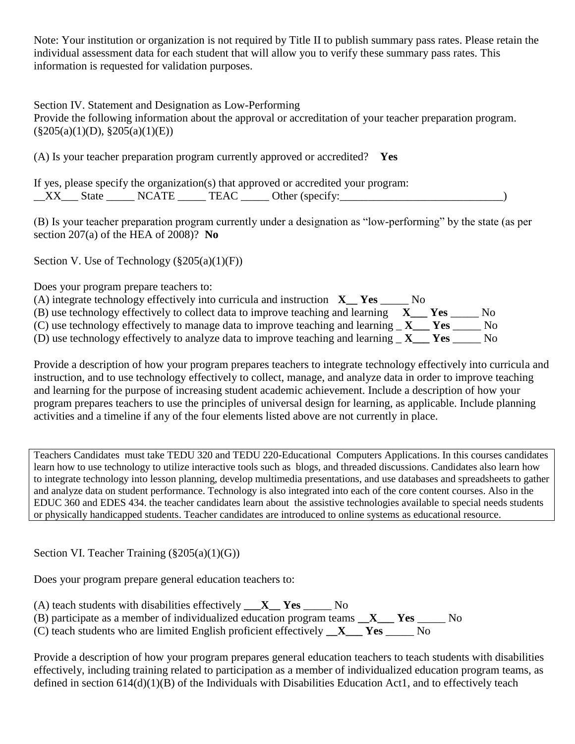Note: Your institution or organization is not required by Title II to publish summary pass rates. Please retain the individual assessment data for each student that will allow you to verify these summary pass rates. This information is requested for validation purposes.

Section IV. Statement and Designation as Low-Performing Provide the following information about the approval or accreditation of your teacher preparation program.  $(\S 205(a)(1)(D), \S 205(a)(1)(E))$ 

(A) Is your teacher preparation program currently approved or accredited? **Yes**

|  |  | If yes, please specify the organization(s) that approved or accredited your program: |  |
|--|--|--------------------------------------------------------------------------------------|--|
|  |  | $\_\_XX$ State $\_\_$ NCATE $\_\_$ TEAC $\_\_$ Other (specify:                       |  |

(B) Is your teacher preparation program currently under a designation as "low-performing" by the state (as per section 207(a) of the HEA of 2008)? **No**

Section V. Use of Technology (§205(a)(1)(F))

Does your program prepare teachers to:

| (A) integrate technology effectively into curricula and instruction $X$ Yes                                 | N <sub>O</sub> |            |                |
|-------------------------------------------------------------------------------------------------------------|----------------|------------|----------------|
| (B) use technology effectively to collect data to improve teaching and learning $X$                         |                | <b>Yes</b> | $N_{\Omega}$   |
| (C) use technology effectively to manage data to improve teaching and learning $\bf{X}$                     |                | <b>Yes</b> | No.            |
| (D) use technology effectively to analyze data to improve teaching and learning $\mathbf{X}$ $\mathbf{Yes}$ |                |            | N <sub>0</sub> |

Provide a description of how your program prepares teachers to integrate technology effectively into curricula and instruction, and to use technology effectively to collect, manage, and analyze data in order to improve teaching and learning for the purpose of increasing student academic achievement. Include a description of how your program prepares teachers to use the principles of universal design for learning, as applicable. Include planning activities and a timeline if any of the four elements listed above are not currently in place.

Teachers Candidates must take TEDU 320 and TEDU 220-Educational Computers Applications. In this courses candidates learn how to use technology to utilize interactive tools such as blogs, and threaded discussions. Candidates also learn how to integrate technology into lesson planning, develop multimedia presentations, and use databases and spreadsheets to gather and analyze data on student performance. Technology is also integrated into each of the core content courses. Also in the EDUC 360 and EDES 434. the teacher candidates learn about the assistive technologies available to special needs students or physically handicapped students. Teacher candidates are introduced to online systems as educational resource.

Section VI. Teacher Training (§205(a)(1)(G))

Does your program prepare general education teachers to:

| (A) teach students with disabilities effectively $\mathbf{X}$ $\mathbf{Y}$ <b>es</b>       |  | - No |    |                |
|--------------------------------------------------------------------------------------------|--|------|----|----------------|
| (B) participate as a member of individualized education program teams $X_{\text{max}}$ Yes |  |      |    | N <sub>0</sub> |
| (C) teach students who are limited English proficient effectively $X_{\text{max}}$ Yes     |  |      | Nο |                |

Provide a description of how your program prepares general education teachers to teach students with disabilities effectively, including training related to participation as a member of individualized education program teams, as defined in section 614(d)(1)(B) of the Individuals with Disabilities Education Act1, and to effectively teach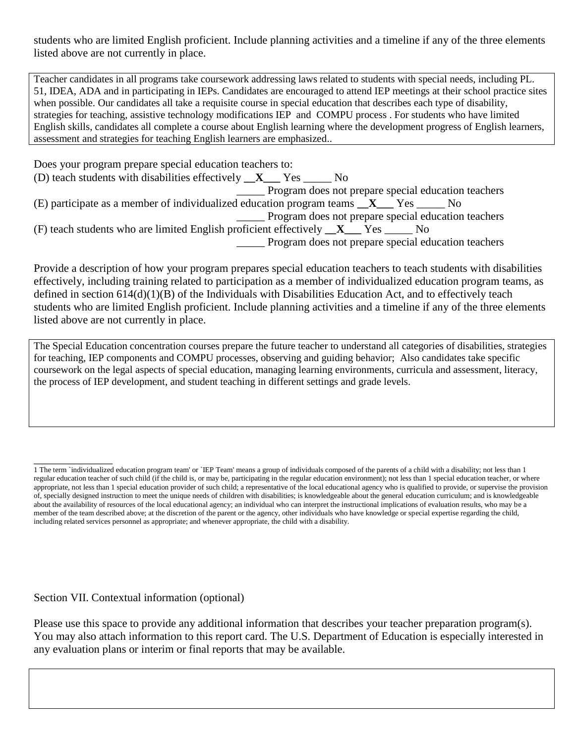students who are limited English proficient. Include planning activities and a timeline if any of the three elements listed above are not currently in place.

Teacher candidates in all programs take coursework addressing laws related to students with special needs, including PL. 51, IDEA, ADA and in participating in IEPs. Candidates are encouraged to attend IEP meetings at their school practice sites when possible. Our candidates all take a requisite course in special education that describes each type of disability, strategies for teaching, assistive technology modifications IEP and COMPU process . For students who have limited English skills, candidates all complete a course about English learning where the development progress of English learners, assessment and strategies for teaching English learners are emphasized..

| Does your program prepare special education teachers to:                                            |
|-----------------------------------------------------------------------------------------------------|
| (D) teach students with disabilities effectively $X$ $Y$ es $\_\_\$ No                              |
| Program does not prepare special education teachers                                                 |
| (E) participate as a member of individualized education program teams $X_{\text{max}}$ Yes _____ No |
| Program does not prepare special education teachers                                                 |
| (F) teach students who are limited English proficient effectively $X$ $Y$ es $\sim$ No              |
| Program does not prepare special education teachers                                                 |

Provide a description of how your program prepares special education teachers to teach students with disabilities effectively, including training related to participation as a member of individualized education program teams, as defined in section 614(d)(1)(B) of the Individuals with Disabilities Education Act, and to effectively teach students who are limited English proficient. Include planning activities and a timeline if any of the three elements listed above are not currently in place.

The Special Education concentration courses prepare the future teacher to understand all categories of disabilities, strategies for teaching, IEP components and COMPU processes, observing and guiding behavior; Also candidates take specific coursework on the legal aspects of special education, managing learning environments, curricula and assessment, literacy, the process of IEP development, and student teaching in different settings and grade levels.

Section VII. Contextual information (optional)

\_\_\_\_\_\_\_\_\_\_\_\_\_\_

Please use this space to provide any additional information that describes your teacher preparation program(s). You may also attach information to this report card. The U.S. Department of Education is especially interested in any evaluation plans or interim or final reports that may be available.

<sup>1</sup> The term `individualized education program team' or `IEP Team' means a group of individuals composed of the parents of a child with a disability; not less than 1 regular education teacher of such child (if the child is, or may be, participating in the regular education environment); not less than 1 special education teacher, or where appropriate, not less than 1 special education provider of such child; a representative of the local educational agency who is qualified to provide, or supervise the provision of, specially designed instruction to meet the unique needs of children with disabilities; is knowledgeable about the general education curriculum; and is knowledgeable about the availability of resources of the local educational agency; an individual who can interpret the instructional implications of evaluation results, who may be a member of the team described above; at the discretion of the parent or the agency, other individuals who have knowledge or special expertise regarding the child, including related services personnel as appropriate; and whenever appropriate, the child with a disability.